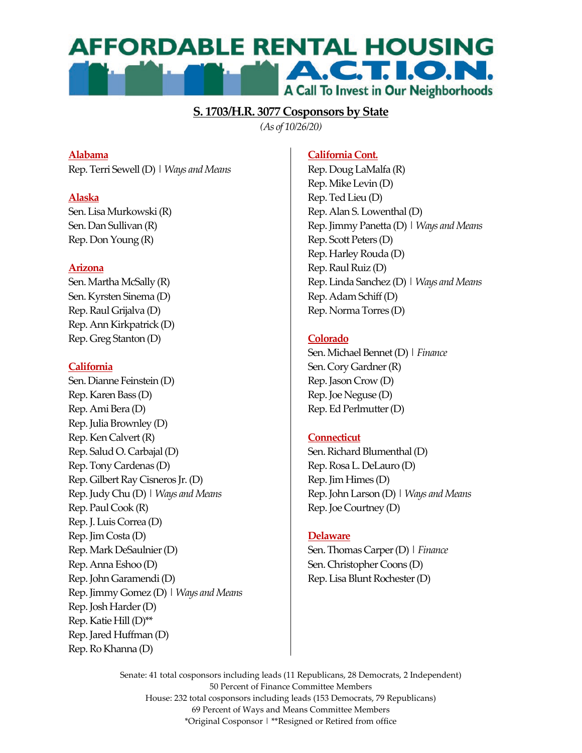# **AFFORDABLE RENTAL HOUSING A.C.T.I.O.N.** A Call To Invest in Our Neighborhoods

## **S. 1703/H.R. 3077 Cosponsors by State**

*(As of 10/26/20)*

## **Alabama**

Rep. Terri Sewell (D) | *Ways and Means*

## **Alaska**

Sen. Lisa Murkowski (R) Sen. Dan Sullivan (R) Rep. Don Young (R)

## **Arizona**

Sen. Martha McSally (R) Sen. Kyrsten Sinema (D) Rep. Raul Grijalva (D) Rep. Ann Kirkpatrick (D) Rep. Greg Stanton (D)

## **California**

Sen. Dianne Feinstein (D) Rep. Karen Bass (D) Rep. Ami Bera (D) Rep. Julia Brownley (D) Rep. Ken Calvert (R) Rep. Salud O. Carbajal (D) Rep. Tony Cardenas (D) Rep. Gilbert Ray Cisneros Jr. (D) Rep. Judy Chu (D) | *Ways and Means* Rep. Paul Cook (R) Rep. J. Luis Correa (D) Rep. Jim Costa (D) Rep. Mark DeSaulnier (D) Rep. Anna Eshoo (D) Rep. John Garamendi (D) Rep. Jimmy Gomez (D) | *Ways and Means* Rep. Josh Harder (D) Rep. Katie Hill (D)\*\* Rep. Jared Huffman (D) Rep. Ro Khanna (D)

## **California Cont.**

Rep. Doug LaMalfa (R) Rep. Mike Levin (D) Rep. Ted Lieu (D) Rep. Alan S. Lowenthal (D) Rep. Jimmy Panetta (D) | *Ways and Means* Rep. Scott Peters (D) Rep. Harley Rouda (D) Rep. Raul Ruiz (D) Rep. Linda Sanchez (D) | *Ways and Means* Rep. Adam Schiff (D) Rep. Norma Torres (D)

## **Colorado**

Sen. Michael Bennet (D) | *Finance* Sen. Cory Gardner (R) Rep. Jason Crow (D) Rep. Joe Neguse (D) Rep. Ed Perlmutter (D)

## **Connecticut**

Sen. Richard Blumenthal (D) Rep. Rosa L. DeLauro (D) Rep. Jim Himes (D) Rep. John Larson (D) | *Ways and Means* Rep. Joe Courtney (D)

## **Delaware**

Sen. Thomas Carper (D) | *Finance* Sen. Christopher Coons (D) Rep. Lisa Blunt Rochester (D)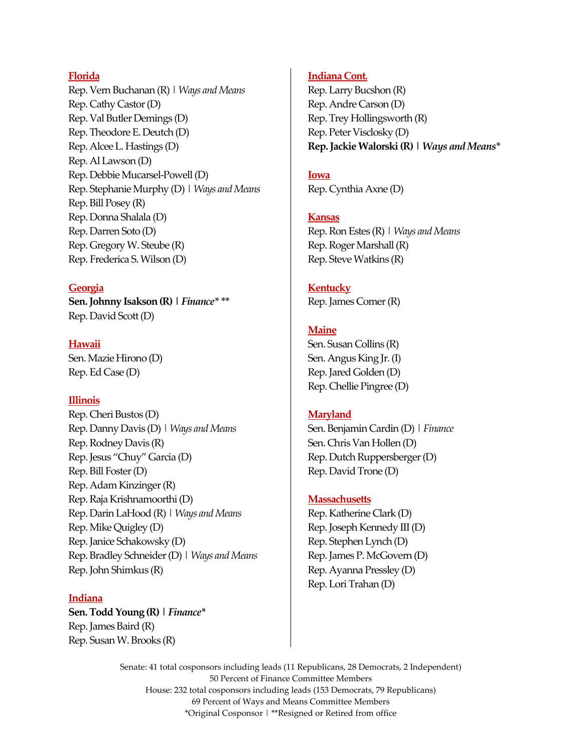#### **Florida**

Rep. Vern Buchanan (R) | *Ways and Means* Rep. Cathy Castor (D) Rep. Val Butler Demings (D) Rep. Theodore E. Deutch (D) Rep. Alcee L. Hastings (D) Rep. Al Lawson (D) Rep. Debbie Mucarsel-Powell (D) Rep. Stephanie Murphy (D) | *Ways and Means* Rep. Bill Posey (R) Rep. Donna Shalala (D) Rep. Darren Soto (D) Rep. Gregory W. Steube (R) Rep. Frederica S. Wilson (D)

#### **Georgia**

**Sen. Johnny Isakson (R) |** *Finance\* \*\** Rep. David Scott (D)

#### **Hawaii**

Sen. Mazie Hirono (D) Rep. Ed Case (D)

#### **Illinois**

Rep. Cheri Bustos (D) Rep. Danny Davis (D) | *Ways and Means* Rep. Rodney Davis (R) Rep. Jesus "Chuy" Garcia (D) Rep. Bill Foster (D) Rep. Adam Kinzinger (R) Rep. Raja Krishnamoorthi (D) Rep. Darin LaHood (R) | *Ways and Means* Rep. Mike Quigley (D) Rep. Janice Schakowsky (D) Rep. Bradley Schneider (D) | *Ways and Means* Rep. John Shimkus (R)

#### **Indiana**

**Sen. Todd Young (R) |** *Finance\** Rep. James Baird (R) Rep. Susan W. Brooks (R)

#### **Indiana Cont.**

Rep. Larry Bucshon (R) Rep. Andre Carson (D) Rep. Trey Hollingsworth (R) Rep. Peter Visclosky (D) **Rep. Jackie Walorski (R) |** *Ways and Means\**

#### **Iowa**

Rep. Cynthia Axne (D)

#### **Kansas**

Rep. Ron Estes (R) | *Ways and Means* Rep. Roger Marshall (R) Rep. Steve Watkins (R)

## **Kentucky**

Rep. James Comer (R)

#### **Maine**

Sen. Susan Collins (R) Sen. Angus King Jr. (I) Rep. Jared Golden (D) Rep. Chellie Pingree (D)

#### **Maryland**

Sen. Benjamin Cardin (D) | *Finance* Sen. Chris Van Hollen (D) Rep. Dutch Ruppersberger (D) Rep. David Trone (D)

#### **Massachusetts**

Rep. Katherine Clark (D) Rep. Joseph Kennedy III (D) Rep. Stephen Lynch (D) Rep. James P. McGovern (D) Rep. Ayanna Pressley (D) Rep. Lori Trahan (D)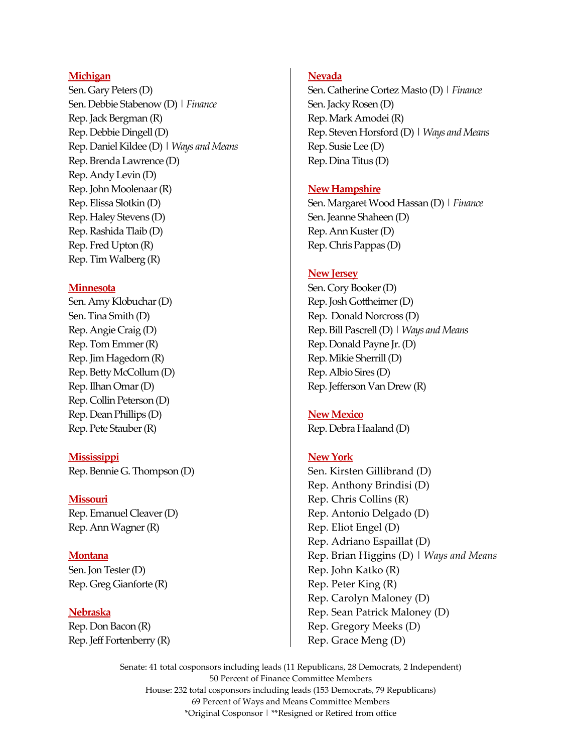#### **Michigan**

Sen. Gary Peters (D) Sen. Debbie Stabenow (D) | *Finance* Rep. Jack Bergman (R) Rep. Debbie Dingell (D) Rep. Daniel Kildee (D) | *Ways and Means* Rep. Brenda Lawrence (D) Rep. Andy Levin (D) Rep. John Moolenaar (R) Rep. Elissa Slotkin (D) Rep. Haley Stevens (D) Rep. Rashida Tlaib (D) Rep. Fred Upton (R) Rep. Tim Walberg (R)

#### **Minnesota**

Sen. Amy Klobuchar (D) Sen. Tina Smith (D) Rep. Angie Craig (D) Rep. Tom Emmer (R) Rep. Jim Hagedorn (R) Rep. Betty McCollum (D) Rep. Ilhan Omar (D) Rep. Collin Peterson (D) Rep. Dean Phillips (D) Rep. Pete Stauber (R)

**Mississippi** Rep. Bennie G. Thompson (D)

#### **Missouri**

Rep. Emanuel Cleaver (D) Rep. Ann Wagner(R)

**Montana**  Sen. Jon Tester (D)

Rep. Greg Gianforte (R)

**Nebraska**  Rep. Don Bacon (R) Rep. Jeff Fortenberry (R)

#### **Nevada**

Sen. Catherine Cortez Masto (D) | *Finance* Sen. Jacky Rosen (D) Rep. Mark Amodei (R) Rep. Steven Horsford (D) |*Ways and Means* Rep. Susie Lee (D) Rep. Dina Titus (D)

#### **New Hampshire**

Sen. Margaret Wood Hassan (D) | *Finance* Sen. Jeanne Shaheen (D) Rep. Ann Kuster (D) Rep. Chris Pappas (D)

#### **New Jersey**

Sen. Cory Booker (D) Rep. Josh Gottheimer (D) Rep. Donald Norcross (D) Rep. Bill Pascrell (D) | *Ways and Means* Rep. Donald Payne Jr. (D) Rep. Mikie Sherrill (D) Rep. Albio Sires (D) Rep. Jefferson Van Drew (R)

#### **New Mexico**

Rep. Debra Haaland (D)

#### **New York**

Sen. Kirsten Gillibrand (D) Rep. Anthony Brindisi (D) Rep. Chris Collins (R) Rep. Antonio Delgado (D) Rep. Eliot Engel (D) Rep. Adriano Espaillat (D) Rep. Brian Higgins (D) | *Ways and Means* Rep. John Katko (R) Rep. Peter King (R) Rep. Carolyn Maloney (D) Rep. Sean Patrick Maloney (D) Rep. Gregory Meeks (D) Rep. Grace Meng (D)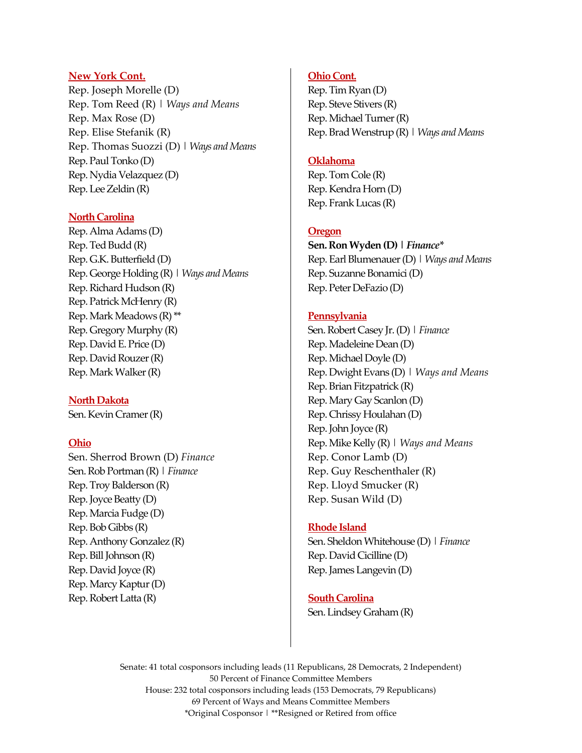#### **New York Cont.**

Rep. Joseph Morelle (D) Rep. Tom Reed (R) | *Ways and Means* Rep. Max Rose (D) Rep. Elise Stefanik (R) Rep. Thomas Suozzi (D) | *Ways and Means* Rep. Paul Tonko (D) Rep. Nydia Velazquez (D) Rep. Lee Zeldin (R)

#### **North Carolina**

Rep. Alma Adams (D) Rep. Ted Budd (R) Rep. G.K. Butterfield (D) Rep. George Holding (R) | *Ways and Means* Rep. Richard Hudson (R) Rep. Patrick McHenry (R) Rep. Mark Meadows (R) \*\* Rep. Gregory Murphy (R) Rep. David E. Price (D) Rep. David Rouzer (R) Rep. Mark Walker (R)

**North Dakota** Sen. Kevin Cramer (R)

#### **Ohio**

Sen. Sherrod Brown (D) *Finance* Sen. Rob Portman (R) | *Finance* Rep. Troy Balderson (R) Rep. Joyce Beatty (D) Rep. Marcia Fudge (D) Rep. Bob Gibbs (R) Rep. Anthony Gonzalez (R) Rep. Bill Johnson (R) Rep. David Joyce (R) Rep. Marcy Kaptur (D) Rep. Robert Latta (R)

#### **Ohio Cont.**

Rep. Tim Ryan (D) Rep. Steve Stivers (R) Rep. Michael Turner (R) Rep. Brad Wenstrup (R) | *Ways and Means*

#### **Oklahoma**

Rep. Tom Cole (R) Rep. Kendra Horn (D) Rep. Frank Lucas (R)

#### **Oregon**

**Sen. Ron Wyden (D) |** *Finance\** Rep. Earl Blumenauer (D) | *Ways and Means* Rep. Suzanne Bonamici (D) Rep. Peter DeFazio (D)

#### **Pennsylvania**

Sen. Robert Casey Jr. (D) | *Finance*  Rep. Madeleine Dean (D) Rep. Michael Doyle (D) Rep. Dwight Evans (D) | *Ways and Means* Rep. Brian Fitzpatrick (R) Rep. Mary Gay Scanlon (D) Rep. Chrissy Houlahan (D) Rep. John Joyce (R) Rep. Mike Kelly (R) | *Ways and Means* Rep. Conor Lamb (D) Rep. Guy Reschenthaler (R) Rep. Lloyd Smucker (R) Rep. Susan Wild (D)

#### **Rhode Island**

Sen. Sheldon Whitehouse (D) | *Finance* Rep. David Cicilline (D) Rep. James Langevin (D)

### **South Carolina** Sen. Lindsey Graham (R)